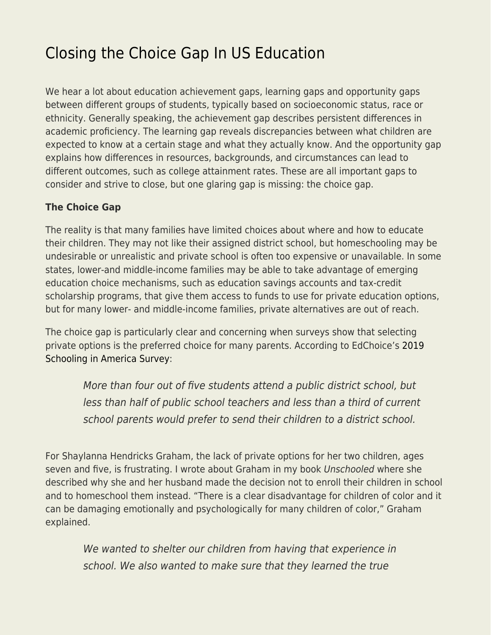## [Closing the Choice Gap In US Education](https://everything-voluntary.com/closing-the-choice-gap-in-us-education)

We hear a lot about education achievement gaps, learning gaps and opportunity gaps between different groups of students, typically based on socioeconomic status, race or ethnicity. Generally speaking, the achievement gap describes persistent differences in academic proficiency. The learning gap reveals discrepancies between what children are expected to know at a certain stage and what they actually know. And the opportunity gap explains how differences in resources, backgrounds, and circumstances can lead to different outcomes, such as college attainment rates. These are all important gaps to consider and strive to close, but one glaring gap is missing: the choice gap.

## **The Choice Gap**

The reality is that many families have limited choices about where and how to educate their children. They may not like their assigned district school, but homeschooling may be undesirable or unrealistic and private school is often too expensive or unavailable. In some states, lower-and middle-income families may be able to take advantage of emerging education choice mechanisms, such as education savings accounts and tax-credit scholarship programs, that give them access to funds to use for private education options, but for many lower- and middle-income families, private alternatives are out of reach.

The choice gap is particularly clear and concerning when surveys show that selecting private options is the preferred choice for many parents. According to EdChoice's [2019](https://www.edchoice.org/research/2019-schooling-in-america-survey/) [Schooling in America Survey](https://www.edchoice.org/research/2019-schooling-in-america-survey/):

More than four out of five students attend a public district school, but less than half of public school teachers and less than a third of current school parents would prefer to send their children to a district school.

For Shaylanna Hendricks Graham, the lack of private options for her two children, ages seven and five, is frustrating. I wrote about Graham in my book Unschooled where she described why she and her husband made the decision not to enroll their children in school and to homeschool them instead. "There is a clear disadvantage for children of color and it can be damaging emotionally and psychologically for many children of color," Graham explained.

We wanted to shelter our children from having that experience in school. We also wanted to make sure that they learned the true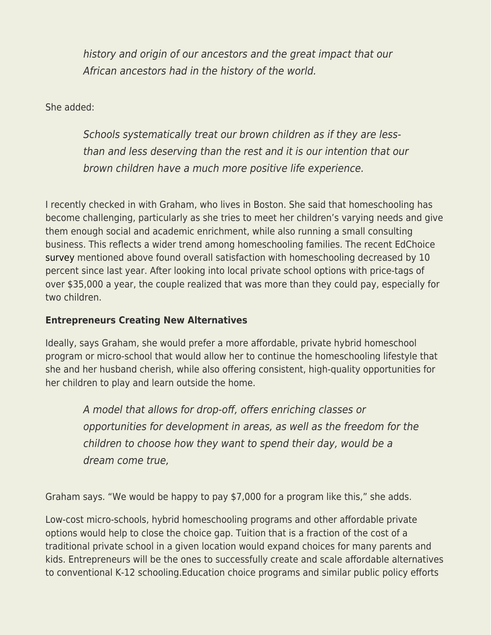history and origin of our ancestors and the great impact that our African ancestors had in the history of the world.

She added:

Schools systematically treat our brown children as if they are lessthan and less deserving than the rest and it is our intention that our brown children have a much more positive life experience.

I recently checked in with Graham, who lives in Boston. She said that homeschooling has become challenging, particularly as she tries to meet her children's varying needs and give them enough social and academic enrichment, while also running a small consulting business. This reflects a wider trend among homeschooling families. The recent EdChoice [survey](https://www.edchoice.org/research/2019-schooling-in-america-survey/) mentioned above found overall satisfaction with homeschooling decreased by 10 percent since last year. After looking into local private school options with price-tags of over \$35,000 a year, the couple realized that was more than they could pay, especially for two children.

## **Entrepreneurs Creating New Alternatives**

Ideally, says Graham, she would prefer a more affordable, private hybrid homeschool program or micro-school that would allow her to continue the homeschooling lifestyle that she and her husband cherish, while also offering consistent, high-quality opportunities for her children to play and learn outside the home.

A model that allows for drop-off, offers enriching classes or opportunities for development in areas, as well as the freedom for the children to choose how they want to spend their day, would be a dream come true,

Graham says. "We would be happy to pay \$7,000 for a program like this," she adds.

Low-cost micro-schools, hybrid homeschooling programs and other affordable private options would help to close the choice gap. Tuition that is a fraction of the cost of a traditional private school in a given location would expand choices for many parents and kids. Entrepreneurs will be the ones to successfully create and scale affordable alternatives to conventional K-12 schooling.Education choice programs and similar public policy efforts